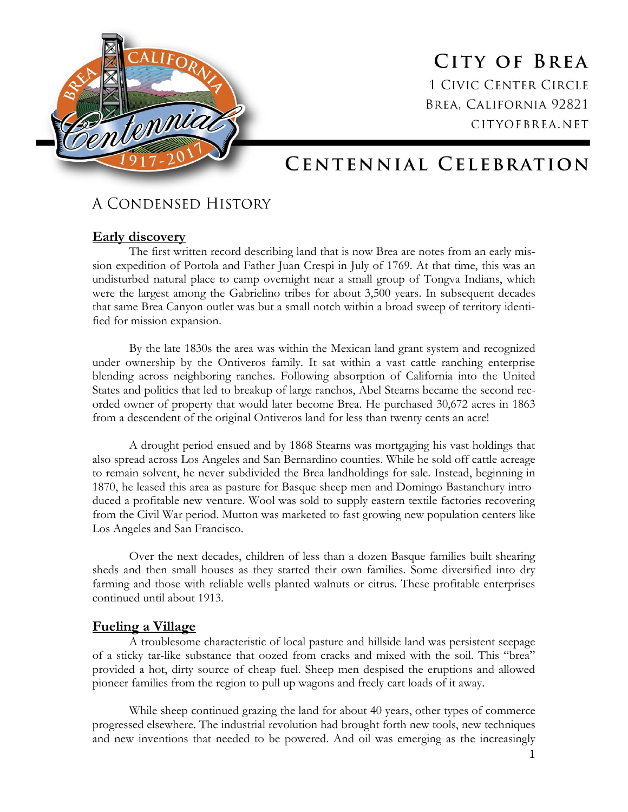

**CITY OF BREA 1 CIVIC CENTER CIRCLE** BREA, CALIFORNIA 92821 CITYOFBREA.NET

# CENTENNIAL CELEBRATION

# A CONDENSED HISTORY

# **Early discovery**

The first written record describing land that is now Brea are notes from an early mission expedition of Portola and Father Juan Crespi in July of 1769. At that time, this was an undisturbed natural place to camp overnight near a small group of Tongva Indians, which were the largest among the Gabrielino tribes for about 3,500 years. In subsequent decades that same Brea Canyon outlet was but a small notch within a broad sweep of territory identified for mission expansion.

By the late 1830s the area was within the Mexican land grant system and recognized under ownership by the Ontiveros family. It sat within a vast cattle ranching enterprise blending across neighboring ranches. Following absorption of California into the United States and politics that led to breakup of large ranchos, Abel Stearns became the second recorded owner of property that would later become Brea. He purchased 30,672 acres in 1863 from a descendent of the original Ontiveros land for less than twenty cents an acre!

A drought period ensued and by 1868 Stearns was mortgaging his vast holdings that also spread across Los Angeles and San Bernardino counties. While he sold off cattle acreage to remain solvent, he never subdivided the Brea landholdings for sale. Instead, beginning in 1870, he leased this area as pasture for Basque sheep men and Domingo Bastanchury introduced a profitable new venture. Wool was sold to supply eastern textile factories recovering from the Civil War period. Mutton was marketed to fast growing new population centers like Los Angeles and San Francisco.

Over the next decades, children of less than a dozen Basque families built shearing sheds and then small houses as they started their own families. Some diversified into dry farming and those with reliable wells planted walnuts or citrus. These profitable enterprises continued until about 1913.

## **Fueling a Village**

A troublesome characteristic of local pasture and hillside land was persistent seepage of a sticky tar-like substance that oozed from cracks and mixed with the soil. This "brea" provided a hot, dirty source of cheap fuel. Sheep men despised the eruptions and allowed pioneer families from the region to pull up wagons and freely cart loads of it away.

While sheep continued grazing the land for about 40 years, other types of commerce progressed elsewhere. The industrial revolution had brought forth new tools, new techniques and new inventions that needed to be powered. And oil was emerging as the increasingly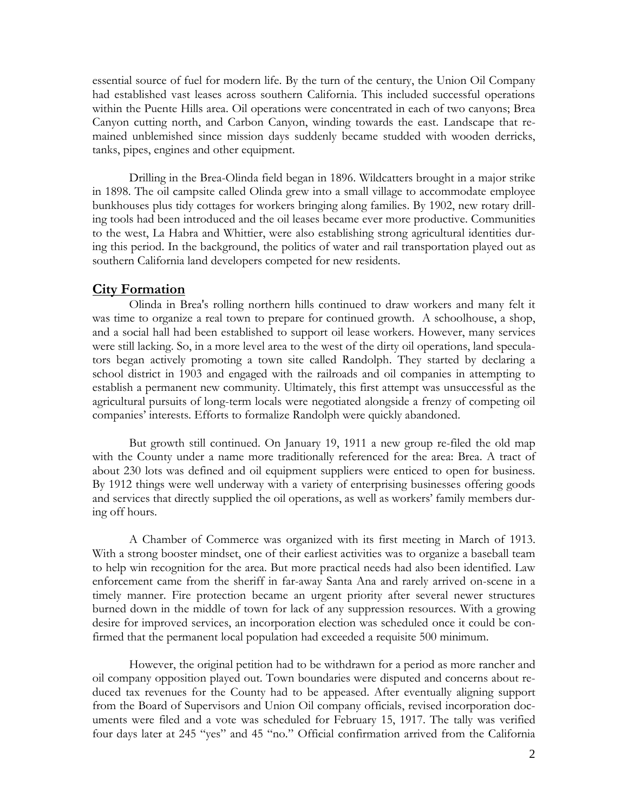essential source of fuel for modern life. By the turn of the century, the Union Oil Company had established vast leases across southern California. This included successful operations within the Puente Hills area. Oil operations were concentrated in each of two canyons; Brea Canyon cutting north, and Carbon Canyon, winding towards the east. Landscape that remained unblemished since mission days suddenly became studded with wooden derricks, tanks, pipes, engines and other equipment.

Drilling in the Brea-Olinda field began in 1896. Wildcatters brought in a major strike in 1898. The oil campsite called Olinda grew into a small village to accommodate employee bunkhouses plus tidy cottages for workers bringing along families. By 1902, new rotary drilling tools had been introduced and the oil leases became ever more productive. Communities to the west, La Habra and Whittier, were also establishing strong agricultural identities during this period. In the background, the politics of water and rail transportation played out as southern California land developers competed for new residents.

#### **City Formation**

Olinda in Brea's rolling northern hills continued to draw workers and many felt it was time to organize a real town to prepare for continued growth. A schoolhouse, a shop, and a social hall had been established to support oil lease workers. However, many services were still lacking. So, in a more level area to the west of the dirty oil operations, land speculators began actively promoting a town site called Randolph. They started by declaring a school district in 1903 and engaged with the railroads and oil companies in attempting to establish a permanent new community. Ultimately, this first attempt was unsuccessful as the agricultural pursuits of long-term locals were negotiated alongside a frenzy of competing oil companies' interests. Efforts to formalize Randolph were quickly abandoned.

But growth still continued. On January 19, 1911 a new group re-filed the old map with the County under a name more traditionally referenced for the area: Brea. A tract of about 230 lots was defined and oil equipment suppliers were enticed to open for business. By 1912 things were well underway with a variety of enterprising businesses offering goods and services that directly supplied the oil operations, as well as workers' family members during off hours.

A Chamber of Commerce was organized with its first meeting in March of 1913. With a strong booster mindset, one of their earliest activities was to organize a baseball team to help win recognition for the area. But more practical needs had also been identified. Law enforcement came from the sheriff in far-away Santa Ana and rarely arrived on-scene in a timely manner. Fire protection became an urgent priority after several newer structures burned down in the middle of town for lack of any suppression resources. With a growing desire for improved services, an incorporation election was scheduled once it could be confirmed that the permanent local population had exceeded a requisite 500 minimum.

However, the original petition had to be withdrawn for a period as more rancher and oil company opposition played out. Town boundaries were disputed and concerns about reduced tax revenues for the County had to be appeased. After eventually aligning support from the Board of Supervisors and Union Oil company officials, revised incorporation documents were filed and a vote was scheduled for February 15, 1917. The tally was verified four days later at 245 "yes" and 45 "no." Official confirmation arrived from the California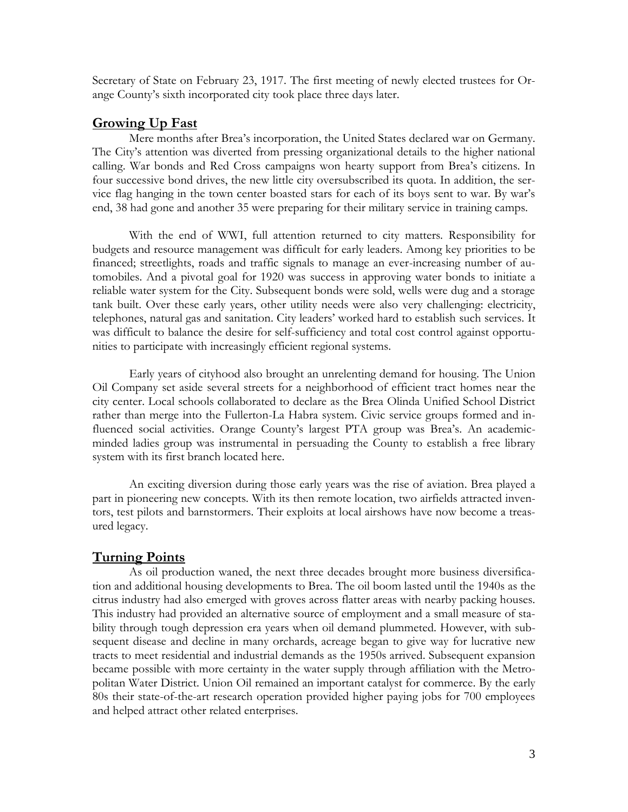Secretary of State on February 23, 1917. The first meeting of newly elected trustees for Orange County's sixth incorporated city took place three days later.

#### **Growing Up Fast**

Mere months after Brea's incorporation, the United States declared war on Germany. The City's attention was diverted from pressing organizational details to the higher national calling. War bonds and Red Cross campaigns won hearty support from Brea's citizens. In four successive bond drives, the new little city oversubscribed its quota. In addition, the service flag hanging in the town center boasted stars for each of its boys sent to war. By war's end, 38 had gone and another 35 were preparing for their military service in training camps.

With the end of WWI, full attention returned to city matters. Responsibility for budgets and resource management was difficult for early leaders. Among key priorities to be financed; streetlights, roads and traffic signals to manage an ever-increasing number of automobiles. And a pivotal goal for 1920 was success in approving water bonds to initiate a reliable water system for the City. Subsequent bonds were sold, wells were dug and a storage tank built. Over these early years, other utility needs were also very challenging: electricity, telephones, natural gas and sanitation. City leaders' worked hard to establish such services. It was difficult to balance the desire for self-sufficiency and total cost control against opportunities to participate with increasingly efficient regional systems.

Early years of cityhood also brought an unrelenting demand for housing. The Union Oil Company set aside several streets for a neighborhood of efficient tract homes near the city center. Local schools collaborated to declare as the Brea Olinda Unified School District rather than merge into the Fullerton-La Habra system. Civic service groups formed and influenced social activities. Orange County's largest PTA group was Brea's. An academicminded ladies group was instrumental in persuading the County to establish a free library system with its first branch located here.

An exciting diversion during those early years was the rise of aviation. Brea played a part in pioneering new concepts. With its then remote location, two airfields attracted inventors, test pilots and barnstormers. Their exploits at local airshows have now become a treasured legacy.

## **Turning Points**

As oil production waned, the next three decades brought more business diversification and additional housing developments to Brea. The oil boom lasted until the 1940s as the citrus industry had also emerged with groves across flatter areas with nearby packing houses. This industry had provided an alternative source of employment and a small measure of stability through tough depression era years when oil demand plummeted. However, with subsequent disease and decline in many orchards, acreage began to give way for lucrative new tracts to meet residential and industrial demands as the 1950s arrived. Subsequent expansion became possible with more certainty in the water supply through affiliation with the Metropolitan Water District. Union Oil remained an important catalyst for commerce. By the early 80s their state-of-the-art research operation provided higher paying jobs for 700 employees and helped attract other related enterprises.